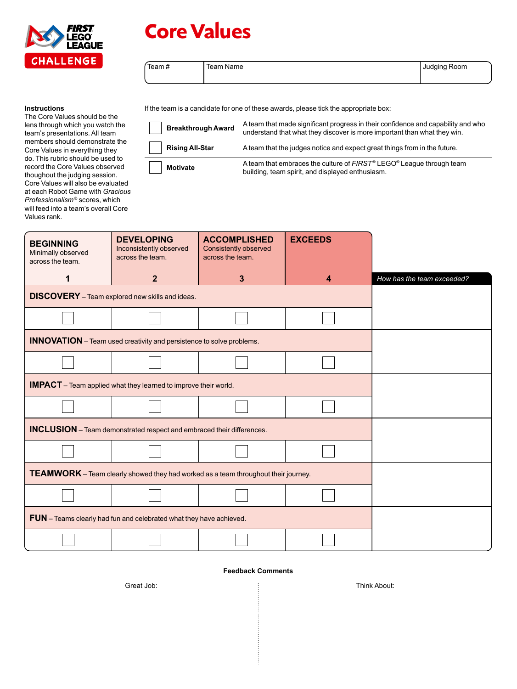

# **Core Values**

 $\overline{a}$ 

 $\overline{\phantom{a}}$ 

| Team# | Team Name | <b>Judging Room</b> |
|-------|-----------|---------------------|
|       |           |                     |

#### **Instructions**

The Core Values should be the lens through which you watch the team's presentations. All team members should demonstrate the Core Values in everything they do. This rubric should be used to record the Core Values observed thoughout the judging session. Core Values will also be evaluated at each Robot Game with *Gracious Professionalism*® scores, which will feed into a team's overall Core Values rank.

If the team is a candidate for one of these awards, please tick the appropriate box:

| <b>Breakthrough Award</b> | A team that made significant progress in their confidence and capability and who<br>understand that what they discover is more important than what they win. |
|---------------------------|--------------------------------------------------------------------------------------------------------------------------------------------------------------|
| <b>Rising All-Star</b>    | A team that the judges notice and expect great things from in the future.                                                                                    |
| <b>Motivate</b>           | A team that embraces the culture of FIRST <sup>®</sup> LEGO <sup>®</sup> League through team<br>building, team spirit, and displayed enthusiasm.             |

| <b>BEGINNING</b><br>Minimally observed<br>across the team.                                | <b>DEVELOPING</b><br>Inconsistently observed<br>across the team. | <b>ACCOMPLISHED</b><br>Consistently observed<br>across the team. | <b>EXCEEDS</b> |                            |  |
|-------------------------------------------------------------------------------------------|------------------------------------------------------------------|------------------------------------------------------------------|----------------|----------------------------|--|
| 1                                                                                         | $\overline{2}$                                                   | 3                                                                | 4              | How has the team exceeded? |  |
|                                                                                           | <b>DISCOVERY</b> - Team explored new skills and ideas.           |                                                                  |                |                            |  |
|                                                                                           |                                                                  |                                                                  |                |                            |  |
| <b>INNOVATION</b> - Team used creativity and persistence to solve problems.               |                                                                  |                                                                  |                |                            |  |
|                                                                                           |                                                                  |                                                                  |                |                            |  |
| <b>IMPACT</b> – Team applied what they learned to improve their world.                    |                                                                  |                                                                  |                |                            |  |
|                                                                                           |                                                                  |                                                                  |                |                            |  |
| <b>INCLUSION</b> - Team demonstrated respect and embraced their differences.              |                                                                  |                                                                  |                |                            |  |
|                                                                                           |                                                                  |                                                                  |                |                            |  |
| <b>TEAMWORK</b> – Team clearly showed they had worked as a team throughout their journey. |                                                                  |                                                                  |                |                            |  |
|                                                                                           |                                                                  |                                                                  |                |                            |  |
| FUN - Teams clearly had fun and celebrated what they have achieved.                       |                                                                  |                                                                  |                |                            |  |
|                                                                                           |                                                                  |                                                                  |                |                            |  |

## **Feedback Comments**

÷

Great Job: Think About: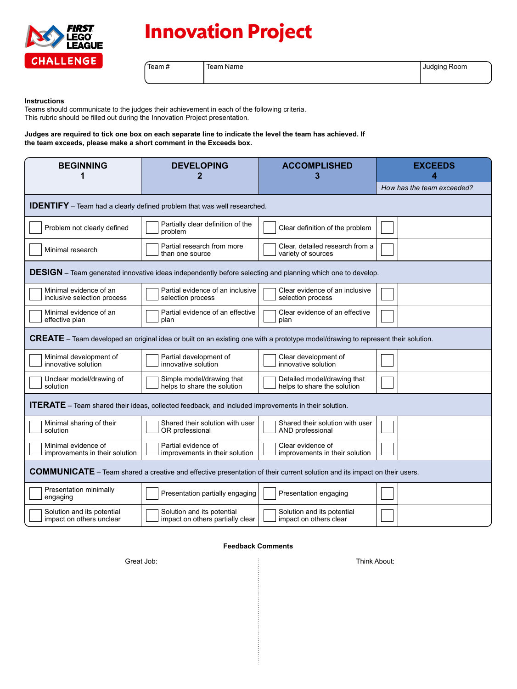

# **Innovation Project**

Team # Team Name Judging Room | Judging Room

#### **Instructions**

Teams should communicate to the judges their achievement in each of the following criteria. This rubric should be filled out during the Innovation Project presentation.

### **Judges are required to tick one box on each separate line to indicate the level the team has achieved. If the team exceeds, please make a short comment in the Exceeds box.**

| <b>BEGINNING</b><br>1                                                                                                                   | <b>DEVELOPING</b><br>2                                         | <b>ACCOMPLISHED</b><br>3                                   | <b>EXCEEDS</b><br>Δ        |  |  |  |
|-----------------------------------------------------------------------------------------------------------------------------------------|----------------------------------------------------------------|------------------------------------------------------------|----------------------------|--|--|--|
|                                                                                                                                         |                                                                |                                                            | How has the team exceeded? |  |  |  |
| <b>IDENTIFY</b> - Team had a clearly defined problem that was well researched.                                                          |                                                                |                                                            |                            |  |  |  |
| Problem not clearly defined                                                                                                             | Partially clear definition of the<br>problem                   | Clear definition of the problem                            |                            |  |  |  |
| Minimal research                                                                                                                        | Partial research from more<br>than one source                  | Clear, detailed research from a<br>variety of sources      |                            |  |  |  |
| <b>DESIGN</b> – Team generated innovative ideas independently before selecting and planning which one to develop.                       |                                                                |                                                            |                            |  |  |  |
| Minimal evidence of an<br>inclusive selection process                                                                                   | Partial evidence of an inclusive<br>selection process          | Clear evidence of an inclusive<br>selection process        |                            |  |  |  |
| Minimal evidence of an<br>effective plan                                                                                                | Partial evidence of an effective<br>plan                       | Clear evidence of an effective<br>plan                     |                            |  |  |  |
| <b>CREATE</b> – Team developed an original idea or built on an existing one with a prototype model/drawing to represent their solution. |                                                                |                                                            |                            |  |  |  |
| Minimal development of<br>innovative solution                                                                                           | Partial development of<br>innovative solution                  | Clear development of<br>innovative solution                |                            |  |  |  |
| Unclear model/drawing of<br>solution                                                                                                    | Simple model/drawing that<br>helps to share the solution       | Detailed model/drawing that<br>helps to share the solution |                            |  |  |  |
| <b>ITERATE</b> - Team shared their ideas, collected feedback, and included improvements in their solution.                              |                                                                |                                                            |                            |  |  |  |
| Minimal sharing of their<br>solution                                                                                                    | Shared their solution with user<br>OR professional             | Shared their solution with user<br>AND professional        |                            |  |  |  |
| Minimal evidence of<br>improvements in their solution                                                                                   | Partial evidence of<br>improvements in their solution          | Clear evidence of<br>improvements in their solution        |                            |  |  |  |
| <b>COMMUNICATE</b> – Team shared a creative and effective presentation of their current solution and its impact on their users.         |                                                                |                                                            |                            |  |  |  |
| Presentation minimally<br>engaging                                                                                                      | Presentation partially engaging                                | Presentation engaging                                      |                            |  |  |  |
| Solution and its potential<br>impact on others unclear                                                                                  | Solution and its potential<br>impact on others partially clear | Solution and its potential<br>impact on others clear       |                            |  |  |  |

#### **Feedback Comments**

÷

Great Job: Think About: Think About: